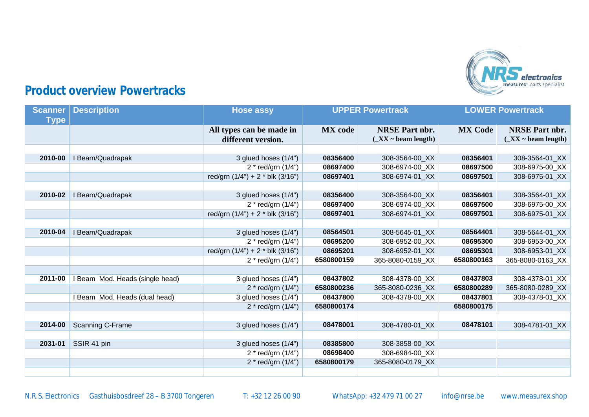

## **Product overview Powertracks**

| <b>Scanner</b><br><b>Type</b> | <b>Description</b>              | <b>Hose assy</b>                               | <b>UPPER Powertrack</b> |                                                           | <b>LOWER Powertrack</b> |                                                    |
|-------------------------------|---------------------------------|------------------------------------------------|-------------------------|-----------------------------------------------------------|-------------------------|----------------------------------------------------|
|                               |                                 | All types can be made in<br>different version. | <b>MX</b> code          | <b>NRSE Part nbr.</b><br>$(\_XX \sim \text{beam length})$ | <b>MX Code</b>          | <b>NRSE Part nbr.</b><br>$(\_XX \sim$ beam length) |
| 2010-00                       | I Beam/Quadrapak                | 3 glued hoses (1/4")                           | 08356400                | 308-3564-00 XX                                            | 08356401                | 308-3564-01_XX                                     |
|                               |                                 | $2 * red/grn (1/4")$                           | 08697400                | 308-6974-00 XX                                            | 08697500                | 308-6975-00 XX                                     |
|                               |                                 | red/grn $(1/4") + 2 *$ blk $(3/16")$           | 08697401                | 308-6974-01 XX                                            | 08697501                | 308-6975-01 XX                                     |
| 2010-02                       | I Beam/Quadrapak                | 3 glued hoses (1/4")                           | 08356400                | 308-3564-00_XX                                            | 08356401                | 308-3564-01_XX                                     |
|                               |                                 | $2 * red/grn (1/4")$                           | 08697400                | 308-6974-00_XX                                            | 08697500                | 308-6975-00 XX                                     |
|                               |                                 | red/grn $(1/4") + 2 * b$ lk $(3/16")$          | 08697401                | 308-6974-01 XX                                            | 08697501                | 308-6975-01 XX                                     |
|                               |                                 |                                                |                         |                                                           |                         |                                                    |
| 2010-04                       | I Beam/Quadrapak                | 3 glued hoses (1/4")                           | 08564501                | 308-5645-01 XX                                            | 08564401                | 308-5644-01_XX                                     |
|                               |                                 | $2 * red/grn (1/4")$                           | 08695200                | 308-6952-00_XX                                            | 08695300                | 308-6953-00 XX                                     |
|                               |                                 | red/grn $(1/4") + 2 *$ blk $(3/16")$           | 08695201                | 308-6952-01 XX                                            | 08695301                | 308-6953-01 XX                                     |
|                               |                                 | $2 * red/grn (1/4")$                           | 6580800159              | 365-8080-0159 XX                                          | 6580800163              | 365-8080-0163 XX                                   |
|                               |                                 |                                                |                         |                                                           |                         |                                                    |
| 2011-00                       | I Beam Mod. Heads (single head) | 3 glued hoses (1/4")                           | 08437802                | 308-4378-00 XX                                            | 08437803                | 308-4378-01 XX                                     |
|                               |                                 | $2 * red/grn (1/4")$                           | 6580800236              | 365-8080-0236_XX                                          | 6580800289              | 365-8080-0289_XX                                   |
|                               | I Beam Mod. Heads (dual head)   | 3 glued hoses (1/4")                           | 08437800                | 308-4378-00_XX                                            | 08437801                | 308-4378-01_XX                                     |
|                               |                                 | 2 * red/grn $(1/4")$                           | 6580800174              |                                                           | 6580800175              |                                                    |
|                               |                                 |                                                |                         |                                                           |                         |                                                    |
| 2014-00                       | Scanning C-Frame                | 3 glued hoses (1/4")                           | 08478001                | 308-4780-01 XX                                            | 08478101                | 308-4781-01 XX                                     |
| 2031-01                       | SSIR 41 pin                     | 3 glued hoses (1/4")                           | 08385800                | 308-3858-00_XX                                            |                         |                                                    |
|                               |                                 | $2 * red/grn (1/4")$                           | 08698400                | 308-6984-00 XX                                            |                         |                                                    |
|                               |                                 | $2 * red/grn (1/4")$                           | 6580800179              | 365-8080-0179 XX                                          |                         |                                                    |
|                               |                                 |                                                |                         |                                                           |                         |                                                    |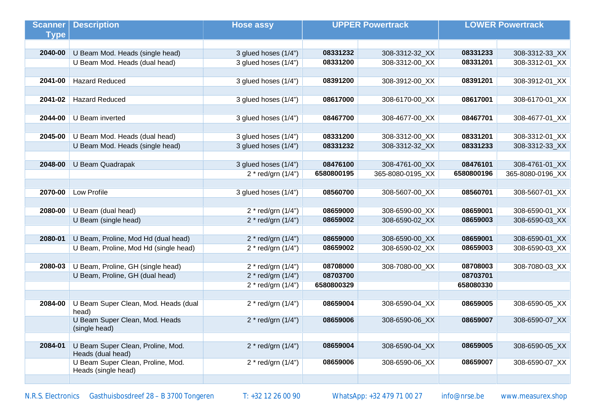| <b>Scanner</b> | <b>Description</b>                                       | <b>Hose assy</b>     | <b>UPPER Powertrack</b> |                  | <b>LOWER Powertrack</b> |                  |
|----------------|----------------------------------------------------------|----------------------|-------------------------|------------------|-------------------------|------------------|
| <b>Type</b>    |                                                          |                      |                         |                  |                         |                  |
|                |                                                          |                      |                         |                  |                         |                  |
| 2040-00        | U Beam Mod. Heads (single head)                          | 3 glued hoses (1/4") | 08331232                | 308-3312-32_XX   | 08331233                | 308-3312-33_XX   |
|                | U Beam Mod. Heads (dual head)                            | 3 glued hoses (1/4") | 08331200                | 308-3312-00_XX   | 08331201                | 308-3312-01 XX   |
|                |                                                          |                      |                         |                  |                         |                  |
| 2041-00        | <b>Hazard Reduced</b>                                    | 3 glued hoses (1/4") | 08391200                | 308-3912-00_XX   | 08391201                | 308-3912-01_XX   |
|                |                                                          |                      |                         |                  |                         |                  |
| 2041-02        | <b>Hazard Reduced</b>                                    | 3 glued hoses (1/4") | 08617000                | 308-6170-00_XX   | 08617001                | 308-6170-01_XX   |
|                |                                                          |                      |                         |                  |                         |                  |
| 2044-00        | U Beam inverted                                          | 3 glued hoses (1/4") | 08467700                | 308-4677-00_XX   | 08467701                | 308-4677-01 XX   |
|                |                                                          |                      |                         |                  |                         |                  |
| 2045-00        | U Beam Mod. Heads (dual head)                            | 3 glued hoses (1/4") | 08331200                | 308-3312-00_XX   | 08331201                | 308-3312-01_XX   |
|                | U Beam Mod. Heads (single head)                          | 3 glued hoses (1/4") | 08331232                | 308-3312-32_XX   | 08331233                | 308-3312-33_XX   |
|                |                                                          |                      |                         |                  |                         |                  |
| 2048-00        | U Beam Quadrapak                                         | 3 glued hoses (1/4") | 08476100                | 308-4761-00_XX   | 08476101                | 308-4761-01_XX   |
|                |                                                          | 2 * red/grn (1/4")   | 6580800195              | 365-8080-0195_XX | 6580800196              | 365-8080-0196_XX |
|                |                                                          |                      |                         |                  |                         |                  |
| 2070-00        | Low Profile                                              | 3 glued hoses (1/4") | 08560700                | 308-5607-00_XX   | 08560701                | 308-5607-01_XX   |
|                |                                                          |                      |                         |                  |                         |                  |
| 2080-00        | U Beam (dual head)                                       | 2 * red/grn (1/4")   | 08659000                | 308-6590-00_XX   | 08659001                | 308-6590-01_XX   |
|                | U Beam (single head)                                     | 2 * red/grn (1/4")   | 08659002                | 308-6590-02_XX   | 08659003                | 308-6590-03_XX   |
|                |                                                          |                      |                         |                  |                         |                  |
| 2080-01        | U Beam, Proline, Mod Hd (dual head)                      | $2 * red/grn (1/4")$ | 08659000                | 308-6590-00_XX   | 08659001                | 308-6590-01_XX   |
|                | U Beam, Proline, Mod Hd (single head)                    | 2 * red/grn (1/4")   | 08659002                | 308-6590-02_XX   | 08659003                | 308-6590-03_XX   |
|                |                                                          |                      | 08708000                |                  |                         |                  |
| 2080-03        | U Beam, Proline, GH (single head)                        | 2 * red/grn (1/4")   | 08703700                | 308-7080-00_XX   | 08708003<br>08703701    | 308-7080-03_XX   |
|                | U Beam, Proline, GH (dual head)                          | 2 * red/grn (1/4")   |                         |                  |                         |                  |
|                |                                                          | 2 * red/grn (1/4")   | 6580800329              |                  | 658080330               |                  |
| 2084-00        | U Beam Super Clean, Mod. Heads (dual                     | 2 * red/grn (1/4")   | 08659004                | 308-6590-04 XX   | 08659005                | 308-6590-05 XX   |
|                | head)                                                    |                      |                         |                  |                         |                  |
|                | U Beam Super Clean, Mod. Heads                           | $2 * red/grn (1/4")$ | 08659006                | 308-6590-06 XX   | 08659007                | 308-6590-07_XX   |
|                | (single head)                                            |                      |                         |                  |                         |                  |
|                |                                                          |                      |                         |                  |                         |                  |
| 2084-01        | U Beam Super Clean, Proline, Mod.<br>Heads (dual head)   | $2 * red/grn (1/4")$ | 08659004                | 308-6590-04 XX   | 08659005                | 308-6590-05_XX   |
|                | U Beam Super Clean, Proline, Mod.<br>Heads (single head) | 2 * red/grn (1/4")   | 08659006                | 308-6590-06_XX   | 08659007                | 308-6590-07_XX   |
|                |                                                          |                      |                         |                  |                         |                  |

N.R.S. Electronics Gasthuisbosdreef 28 – B 3700 Tongeren T: +32 12 26 00 90 WhatsApp: +32 479 71 00 27 info@nrse.be [www.measurex.shop](http://www.measurex.shop)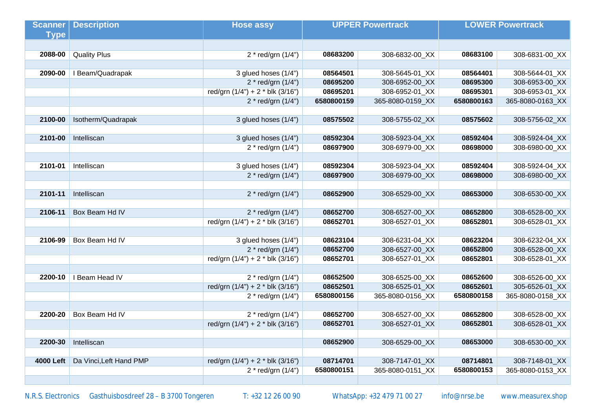| <b>Scanner</b> | <b>Description</b>              | <b>Hose assy</b>                      | <b>UPPER Powertrack</b> |                  | <b>LOWER Powertrack</b> |                  |
|----------------|---------------------------------|---------------------------------------|-------------------------|------------------|-------------------------|------------------|
| <b>Type</b>    |                                 |                                       |                         |                  |                         |                  |
|                |                                 |                                       |                         |                  |                         |                  |
| 2088-00        | <b>Quality Plus</b>             | $2 * red/grn (1/4")$                  | 08683200                | 308-6832-00_XX   | 08683100                | 308-6831-00_XX   |
|                |                                 |                                       |                         |                  |                         |                  |
| 2090-00        | I Beam/Quadrapak                | 3 glued hoses (1/4")                  | 08564501                | 308-5645-01 XX   | 08564401                | 308-5644-01_XX   |
|                |                                 | $2 * red/grn (1/4")$                  | 08695200                | 308-6952-00_XX   | 08695300                | 308-6953-00_XX   |
|                |                                 | red/grn $(1/4") + 2 *$ blk $(3/16")$  | 08695201                | 308-6952-01_XX   | 08695301                | 308-6953-01_XX   |
|                |                                 | $2 * red/grn (1/4")$                  | 6580800159              | 365-8080-0159_XX | 6580800163              | 365-8080-0163_XX |
|                |                                 |                                       |                         |                  |                         |                  |
| 2100-00        | Isotherm/Quadrapak              | 3 glued hoses (1/4")                  | 08575502                | 308-5755-02_XX   | 08575602                | 308-5756-02_XX   |
|                |                                 |                                       |                         |                  |                         |                  |
| 2101-00        | Intelliscan                     | 3 glued hoses (1/4")                  | 08592304                | 308-5923-04_XX   | 08592404                | 308-5924-04_XX   |
|                |                                 | 2 * red/grn $(1/4")$                  | 08697900                | 308-6979-00_XX   | 08698000                | 308-6980-00_XX   |
|                |                                 |                                       |                         |                  |                         |                  |
| 2101-01        | Intelliscan                     | 3 glued hoses (1/4")                  | 08592304                | 308-5923-04 XX   | 08592404                | 308-5924-04 XX   |
|                |                                 | $2 * red/grn (1/4")$                  | 08697900                | 308-6979-00 XX   | 08698000                | 308-6980-00_XX   |
|                |                                 |                                       |                         |                  |                         |                  |
| 2101-11        | Intelliscan                     | $2 * red/grn (1/4")$                  | 08652900                | 308-6529-00 XX   | 08653000                | 308-6530-00_XX   |
|                |                                 |                                       |                         |                  |                         |                  |
| 2106-11        | Box Beam Hd IV                  | $2 * red/grn (1/4")$                  | 08652700                | 308-6527-00_XX   | 08652800                | 308-6528-00_XX   |
|                |                                 | red/grn $(1/4") + 2 *$ blk $(3/16")$  | 08652701                | 308-6527-01 XX   | 08652801                | 308-6528-01_XX   |
|                |                                 |                                       |                         |                  |                         |                  |
| 2106-99        | Box Beam Hd IV                  | 3 glued hoses (1/4")                  | 08623104                | 308-6231-04_XX   | 08623204                | 308-6232-04_XX   |
|                |                                 | $2 * red/grn (1/4")$                  | 08652700                | 308-6527-00_XX   | 08652800                | 308-6528-00_XX   |
|                |                                 | red/grn $(1/4") + 2 *$ blk $(3/16")$  | 08652701                | 308-6527-01_XX   | 08652801                | 308-6528-01_XX   |
|                |                                 |                                       |                         |                  |                         |                  |
|                | <b>2200-10</b>   I Beam Head IV | $2 * red/grn (1/4")$                  | 08652500                | 308-6525-00_XX   | 08652600                | 308-6526-00_XX   |
|                |                                 | red/grn $(1/4") + 2 * b$ lk $(3/16")$ | 08652501                | 308-6525-01_XX   | 08652601                | 305-6526-01_XX   |
|                |                                 | $2 * red/grn (1/4")$                  | 6580800156              | 365-8080-0156_XX | 6580800158              | 365-8080-0158_XX |
|                |                                 |                                       |                         |                  |                         |                  |
| 2200-20        | Box Beam Hd IV                  | $2 * red/grn (1/4")$                  | 08652700                | 308-6527-00_XX   | 08652800                | 308-6528-00_XX   |
|                |                                 | red/grn (1/4") + 2 * blk (3/16")      | 08652701                | 308-6527-01 XX   | 08652801                | 308-6528-01_XX   |
|                |                                 |                                       |                         |                  |                         |                  |
| 2200-30        | Intelliscan                     |                                       | 08652900                | 308-6529-00_XX   | 08653000                | 308-6530-00_XX   |
|                |                                 |                                       |                         |                  |                         |                  |
| 4000 Left      | Da Vinci, Left Hand PMP         | red/grn $(1/4") + 2 *$ blk $(3/16")$  | 08714701                | 308-7147-01_XX   | 08714801                | 308-7148-01_XX   |
|                |                                 | $2 * red/grn (1/4")$                  | 6580800151              | 365-8080-0151 XX | 6580800153              | 365-8080-0153 XX |
|                |                                 |                                       |                         |                  |                         |                  |

N.R.S. Electronics Gasthuisbosdreef 28 – B 3700 Tongeren T: +32 12 26 00 90 WhatsApp: +32 479 71 00 27 info@nrse.be [www.measurex.shop](http://www.measurex.shop)